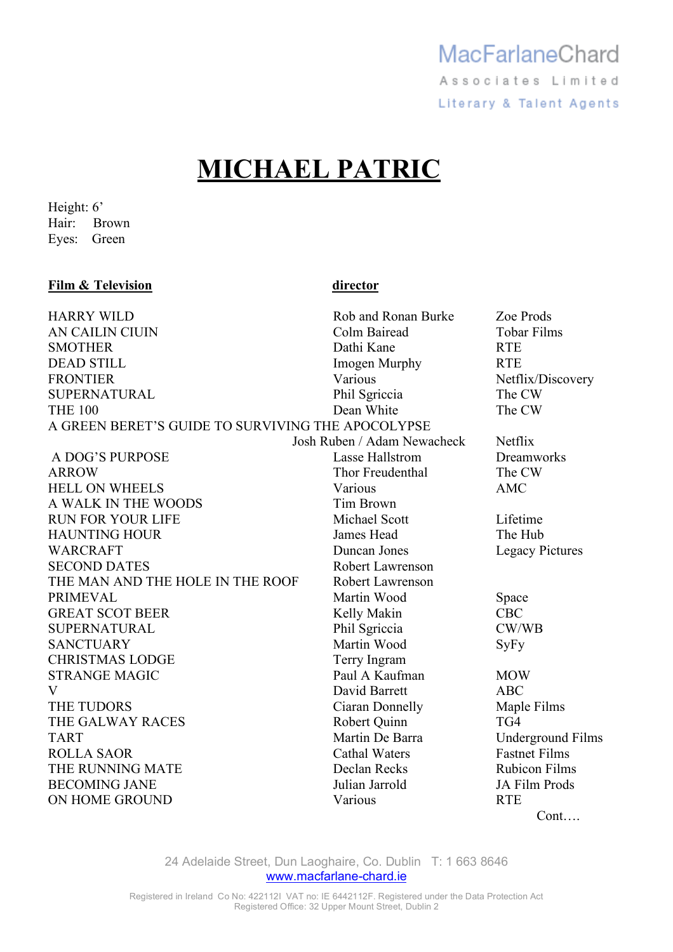## **MICHAEL PATRIC**

Height: 6' Hair: Brown Eyes: Green

#### **Film & Television** director

| HARRY WILD                                        | Rob and Ronan Burke         | Zoe Prods              |  |  |
|---------------------------------------------------|-----------------------------|------------------------|--|--|
| AN CAILIN CIUIN                                   | Colm Bairead                | <b>Tobar Films</b>     |  |  |
| <b>SMOTHER</b>                                    | Dathi Kane                  | <b>RTE</b>             |  |  |
| <b>DEAD STILL</b>                                 | Imogen Murphy               | <b>RTE</b>             |  |  |
| <b>FRONTIER</b>                                   | Various                     | Netflix/Discovery      |  |  |
| SUPERNATURAL                                      | Phil Sgriccia               | The CW                 |  |  |
| <b>THE 100</b>                                    | Dean White                  | The CW                 |  |  |
| A GREEN BERET'S GUIDE TO SURVIVING THE APOCOLYPSE |                             |                        |  |  |
|                                                   | Josh Ruben / Adam Newacheck | Netflix                |  |  |
| A DOG'S PURPOSE                                   | Lasse Hallstrom             | Dreamworks             |  |  |
| <b>ARROW</b>                                      | Thor Freudenthal            | The CW                 |  |  |
| <b>HELL ON WHEELS</b>                             | Various                     | <b>AMC</b>             |  |  |
| A WALK IN THE WOODS                               | Tim Brown                   |                        |  |  |
| <b>RUN FOR YOUR LIFE</b>                          | Michael Scott               | Lifetime               |  |  |
| <b>HAUNTING HOUR</b>                              | James Head                  | The Hub                |  |  |
| WARCRAFT                                          | Duncan Jones                | <b>Legacy Pictures</b> |  |  |
| <b>SECOND DATES</b>                               | Robert Lawrenson            |                        |  |  |
| THE MAN AND THE HOLE IN THE ROOF                  | Robert Lawrenson            |                        |  |  |
| PRIMEVAL                                          | Martin Wood                 | Space                  |  |  |
| <b>GREAT SCOT BEER</b>                            | Kelly Makin                 | <b>CBC</b>             |  |  |
| <b>SUPERNATURAL</b>                               | Phil Sgriccia               | CW/WB                  |  |  |
| <b>SANCTUARY</b>                                  | Martin Wood                 | SyFy                   |  |  |
| <b>CHRISTMAS LODGE</b>                            | Terry Ingram                |                        |  |  |
| <b>STRANGE MAGIC</b>                              | Paul A Kaufman              | <b>MOW</b>             |  |  |
| V                                                 | David Barrett               | <b>ABC</b>             |  |  |
| THE TUDORS                                        | Ciaran Donnelly             | Maple Films            |  |  |
| THE GALWAY RACES                                  | Robert Quinn                | TG4                    |  |  |
| <b>TART</b>                                       | Martin De Barra             | Underground Films      |  |  |
| ROLLA SAOR                                        | <b>Cathal Waters</b>        | <b>Fastnet Films</b>   |  |  |
| THE RUNNING MATE                                  | Declan Recks                | <b>Rubicon Films</b>   |  |  |
| <b>BECOMING JANE</b>                              | Julian Jarrold              | JA Film Prods          |  |  |
| ON HOME GROUND                                    | Various                     | <b>RTE</b>             |  |  |

Cont….

24 Adelaide Street, Dun Laoghaire, Co. Dublin T: 1 663 8646 www.macfarlane-chard.ie